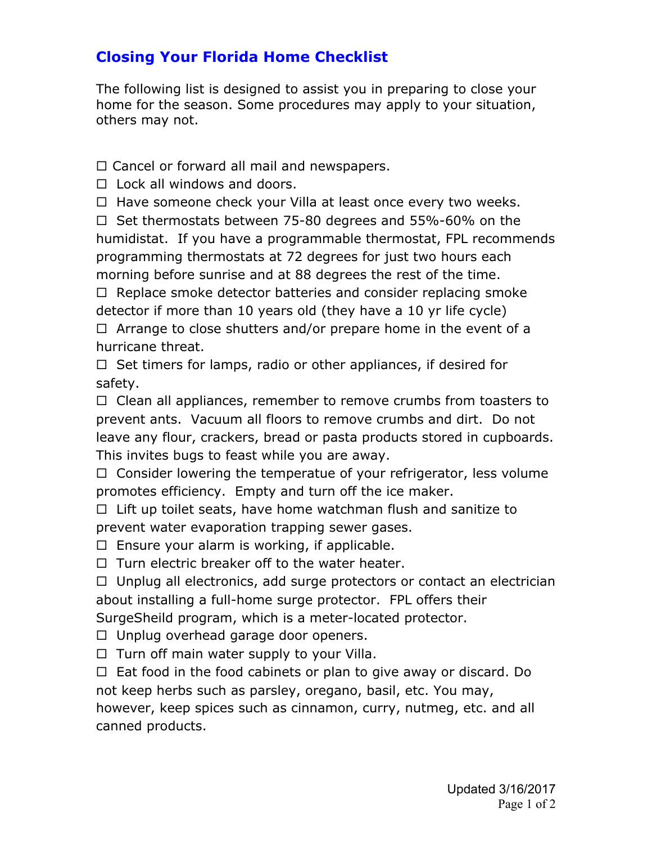## **Closing Your Florida Home Checklist**

The following list is designed to assist you in preparing to close your home for the season. Some procedures may apply to your situation, others may not.

 $\Box$  Cancel or forward all mail and newspapers.

 $\Box$  Lock all windows and doors.

 $\Box$  Have someone check your Villa at least once every two weeks.

 $\Box$  Set thermostats between 75-80 degrees and 55%-60% on the humidistat. If you have a programmable thermostat, FPL recommends programming thermostats at 72 degrees for just two hours each morning before sunrise and at 88 degrees the rest of the time.

 $\Box$  Replace smoke detector batteries and consider replacing smoke detector if more than 10 years old (they have a 10 yr life cycle)  $\Box$  Arrange to close shutters and/or prepare home in the event of a hurricane threat.

 $\Box$  Set timers for lamps, radio or other appliances, if desired for safety.

 $\Box$  Clean all appliances, remember to remove crumbs from toasters to prevent ants. Vacuum all floors to remove crumbs and dirt. Do not leave any flour, crackers, bread or pasta products stored in cupboards. This invites bugs to feast while you are away.

 $\Box$  Consider lowering the temperatue of your refrigerator, less volume promotes efficiency. Empty and turn off the ice maker.

 $\Box$  Lift up toilet seats, have home watchman flush and sanitize to prevent water evaporation trapping sewer gases.

 $\Box$  Ensure your alarm is working, if applicable.

 $\Box$  Turn electric breaker off to the water heater.

 $\Box$  Unplug all electronics, add surge protectors or contact an electrician about installing a full-home surge protector. FPL offers their SurgeSheild program, which is a meter-located protector.

 $\Box$  Unplug overhead garage door openers.

 $\Box$  Turn off main water supply to your Villa.

 $\Box$  Eat food in the food cabinets or plan to give away or discard. Do not keep herbs such as parsley, oregano, basil, etc. You may, however, keep spices such as cinnamon, curry, nutmeg, etc. and all canned products.